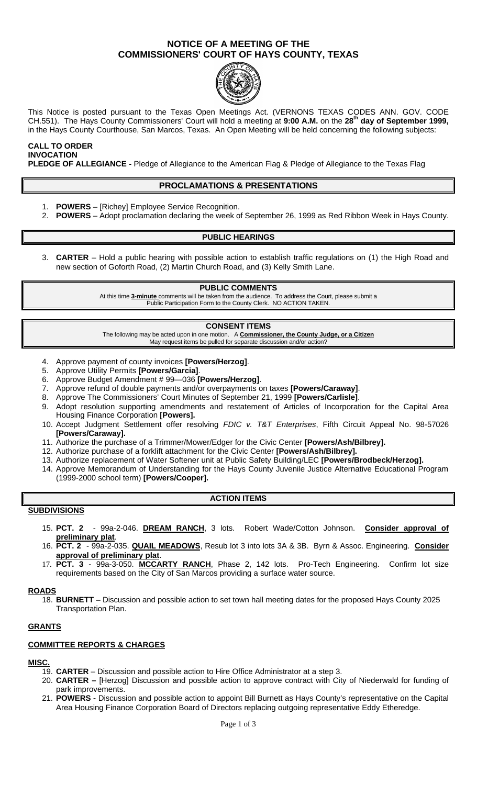## **NOTICE OF A MEETING OF THE COMMISSIONERS' COURT OF HAYS COUNTY, TEXAS**



This Notice is posted pursuant to the Texas Open Meetings Act. (VERNONS TEXAS CODES ANN. GOV. CODE CH.551). The Hays County Commissioners' Court will hold a meeting at **9:00 A.M.** on the **28th day of September 1999,**  in the Hays County Courthouse, San Marcos, Texas. An Open Meeting will be held concerning the following subjects:

#### **CALL TO ORDER INVOCATION**

**PLEDGE OF ALLEGIANCE -** Pledge of Allegiance to the American Flag & Pledge of Allegiance to the Texas Flag

## **PROCLAMATIONS & PRESENTATIONS**

- 1. **POWERS** [Richey] Employee Service Recognition.
- 2. **POWERS**  Adopt proclamation declaring the week of September 26, 1999 as Red Ribbon Week in Hays County.

### **PUBLIC HEARINGS**

3. **CARTER** – Hold a public hearing with possible action to establish traffic regulations on (1) the High Road and new section of Goforth Road, (2) Martin Church Road, and (3) Kelly Smith Lane.

#### **PUBLIC COMMENTS**

At this time **3-minute** comments will be taken from the audience. To address the Court, please submit a Public Participation Form to the County Clerk. NO ACTION TAKEN.

#### **CONSENT ITEMS**

The following may be acted upon in one motion. A **Commissioner, the County Judge, or a Citizen** May request items be pulled for separate discussion and/or action?

- 4. Approve payment of county invoices **[Powers/Herzog]**.
- 5. Approve Utility Permits **[Powers/Garcia]**.
- 6. Approve Budget Amendment # 99—036 **[Powers/Herzog]**.
- 7. Approve refund of double payments and/or overpayments on taxes **[Powers/Caraway]**.
- 8. Approve The Commissioners' Court Minutes of September 21, 1999 **[Powers/Carlisle]**.
- 9. Adopt resolution supporting amendments and restatement of Articles of Incorporation for the Capital Area Housing Finance Corporation **[Powers].**
- 10. Accept Judgment Settlement offer resolving *FDIC v. T&T Enterprises*, Fifth Circuit Appeal No. 98-57026 **[Powers/Caraway].**
- 11. Authorize the purchase of a Trimmer/Mower/Edger for the Civic Center **[Powers/Ash/Bilbrey].**
- 12. Authorize purchase of a forklift attachment for the Civic Center **[Powers/Ash/Bilbrey].**
- 13. Authorize replacement of Water Softener unit at Public Safety Building/LEC **[Powers/Brodbeck/Herzog].**
- 14. Approve Memorandum of Understanding for the Hays County Juvenile Justice Alternative Educational Program (1999-2000 school term) **[Powers/Cooper].**

### **ACTION ITEMS**

- **SUBDIVISIONS**
	- 15. **PCT. 2**  99a-2-046. **DREAM RANCH**, 3 lots. Robert Wade/Cotton Johnson. **Consider approval of preliminary plat**.
	- 16. **PCT. 2**  99a-2-035. **QUAIL MEADOWS**, Resub lot 3 into lots 3A & 3B. Byrn & Assoc. Engineering. **Consider approval of preliminary plat**.
	- 17. **PCT. 3**  99a-3-050. **MCCARTY RANCH**, Phase 2, 142 lots. Pro-Tech Engineering. Confirm lot size requirements based on the City of San Marcos providing a surface water source.

#### **ROADS**

18. **BURNETT** – Discussion and possible action to set town hall meeting dates for the proposed Hays County 2025 Transportation Plan.

### **GRANTS**

### **COMMITTEE REPORTS & CHARGES**

### **MISC.**

- 19. **CARTER** Discussion and possible action to Hire Office Administrator at a step 3.
- 20. **CARTER –** [Herzog] Discussion and possible action to approve contract with City of Niederwald for funding of park improvements.
- 21. **POWERS -** Discussion and possible action to appoint Bill Burnett as Hays County's representative on the Capital Area Housing Finance Corporation Board of Directors replacing outgoing representative Eddy Etheredge.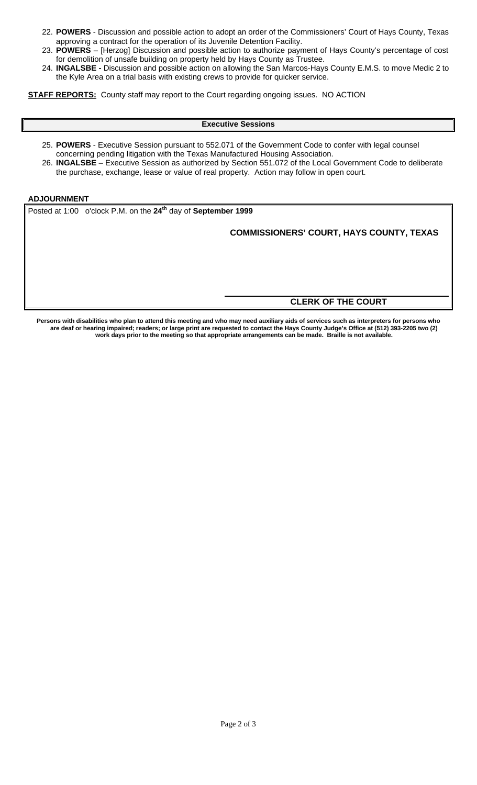- 22. **POWERS** Discussion and possible action to adopt an order of the Commissioners' Court of Hays County, Texas approving a contract for the operation of its Juvenile Detention Facility.
- 23. **POWERS** [Herzog] Discussion and possible action to authorize payment of Hays County's percentage of cost for demolition of unsafe building on property held by Hays County as Trustee.
- 24. **INGALSBE -** Discussion and possible action on allowing the San Marcos-Hays County E.M.S. to move Medic 2 to the Kyle Area on a trial basis with existing crews to provide for quicker service.

**STAFF REPORTS:** County staff may report to the Court regarding ongoing issues. NO ACTION

#### **Executive Sessions**

- 25. **POWERS** Executive Session pursuant to 552.071 of the Government Code to confer with legal counsel concerning pending litigation with the Texas Manufactured Housing Association.
- 26. **INGALSBE** Executive Session as authorized by Section 551.072 of the Local Government Code to deliberate the purchase, exchange, lease or value of real property. Action may follow in open court.

## **ADJOURNMENT**

Posted at 1:00 o'clock P.M. on the **24th** day of **September 1999**

**COMMISSIONERS' COURT, HAYS COUNTY, TEXAS**

## **CLERK OF THE COURT**

**Persons with disabilities who plan to attend this meeting and who may need auxiliary aids of services such as interpreters for persons who are deaf or hearing impaired; readers; or large print are requested to contact the Hays County Judge's Office at (512) 393-2205 two (2) work days prior to the meeting so that appropriate arrangements can be made. Braille is not available.**